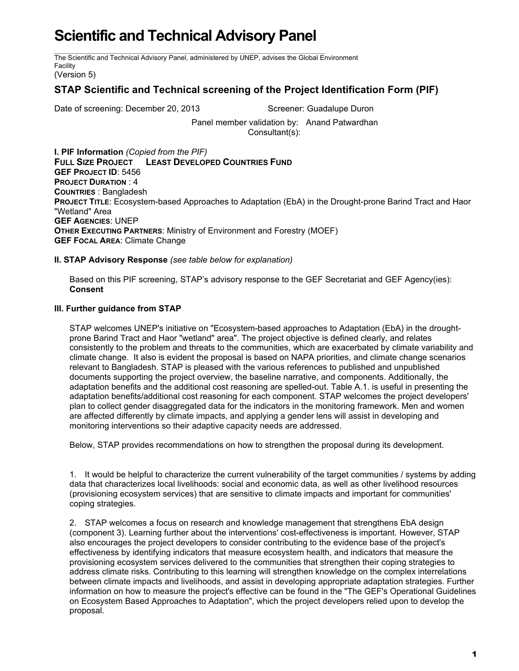## **Scientific and Technical Advisory Panel**

The Scientific and Technical Advisory Panel, administered by UNEP, advises the Global Environment Facility

(Version 5)

## **STAP Scientific and Technical screening of the Project Identification Form (PIF)**

Date of screening: December 20, 2013 Screener: Guadalupe Duron

Panel member validation by: Anand Patwardhan Consultant(s):

**I. PIF Information** *(Copied from the PIF)* **FULL SIZE PROJECT LEAST DEVELOPED COUNTRIES FUND GEF PROJECT ID**: 5456 **PROJECT DURATION** : 4 **COUNTRIES** : Bangladesh **PROJECT TITLE**: Ecosystem-based Approaches to Adaptation (EbA) in the Drought-prone Barind Tract and Haor "Wetland" Area **GEF AGENCIES**: UNEP **OTHER EXECUTING PARTNERS**: Ministry of Environment and Forestry (MOEF) **GEF FOCAL AREA**: Climate Change

## **II. STAP Advisory Response** *(see table below for explanation)*

Based on this PIF screening, STAP's advisory response to the GEF Secretariat and GEF Agency(ies): **Consent**

## **III. Further guidance from STAP**

STAP welcomes UNEP's initiative on "Ecosystem-based approaches to Adaptation (EbA) in the droughtprone Barind Tract and Haor "wetland" area". The project objective is defined clearly, and relates consistently to the problem and threats to the communities, which are exacerbated by climate variability and climate change. It also is evident the proposal is based on NAPA priorities, and climate change scenarios relevant to Bangladesh. STAP is pleased with the various references to published and unpublished documents supporting the project overview, the baseline narrative, and components. Additionally, the adaptation benefits and the additional cost reasoning are spelled-out. Table A.1. is useful in presenting the adaptation benefits/additional cost reasoning for each component. STAP welcomes the project developers' plan to collect gender disaggregated data for the indicators in the monitoring framework. Men and women are affected differently by climate impacts, and applying a gender lens will assist in developing and monitoring interventions so their adaptive capacity needs are addressed.

Below, STAP provides recommendations on how to strengthen the proposal during its development.

1. It would be helpful to characterize the current vulnerability of the target communities / systems by adding data that characterizes local livelihoods: social and economic data, as well as other livelihood resources (provisioning ecosystem services) that are sensitive to climate impacts and important for communities' coping strategies.

2. STAP welcomes a focus on research and knowledge management that strengthens EbA design (component 3). Learning further about the interventions' cost-effectiveness is important. However, STAP also encourages the project developers to consider contributing to the evidence base of the project's effectiveness by identifying indicators that measure ecosystem health, and indicators that measure the provisioning ecosystem services delivered to the communities that strengthen their coping strategies to address climate risks. Contributing to this learning will strengthen knowledge on the complex interrelations between climate impacts and livelihoods, and assist in developing appropriate adaptation strategies. Further information on how to measure the project's effective can be found in the "The GEF's Operational Guidelines on Ecosystem Based Approaches to Adaptation", which the project developers relied upon to develop the proposal.